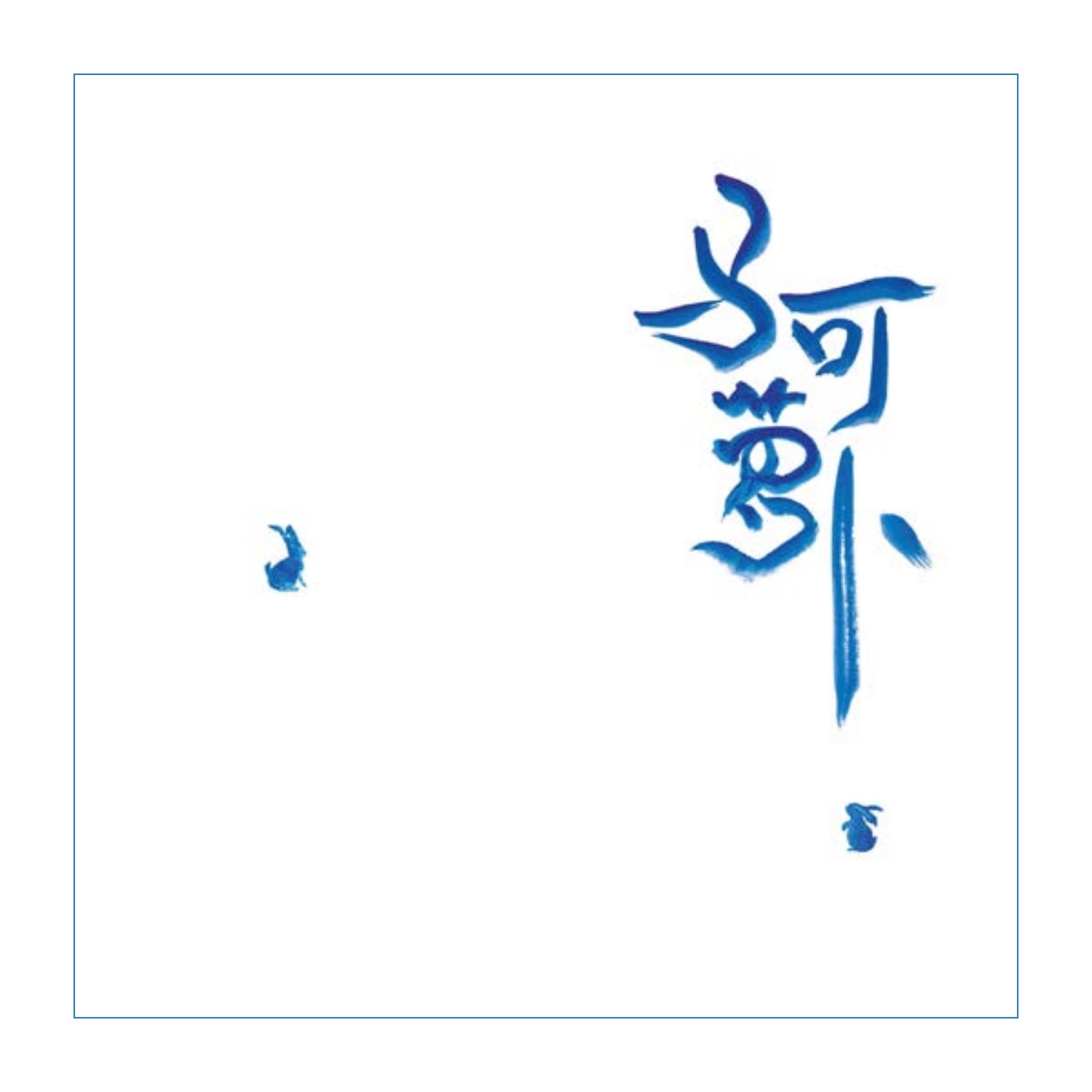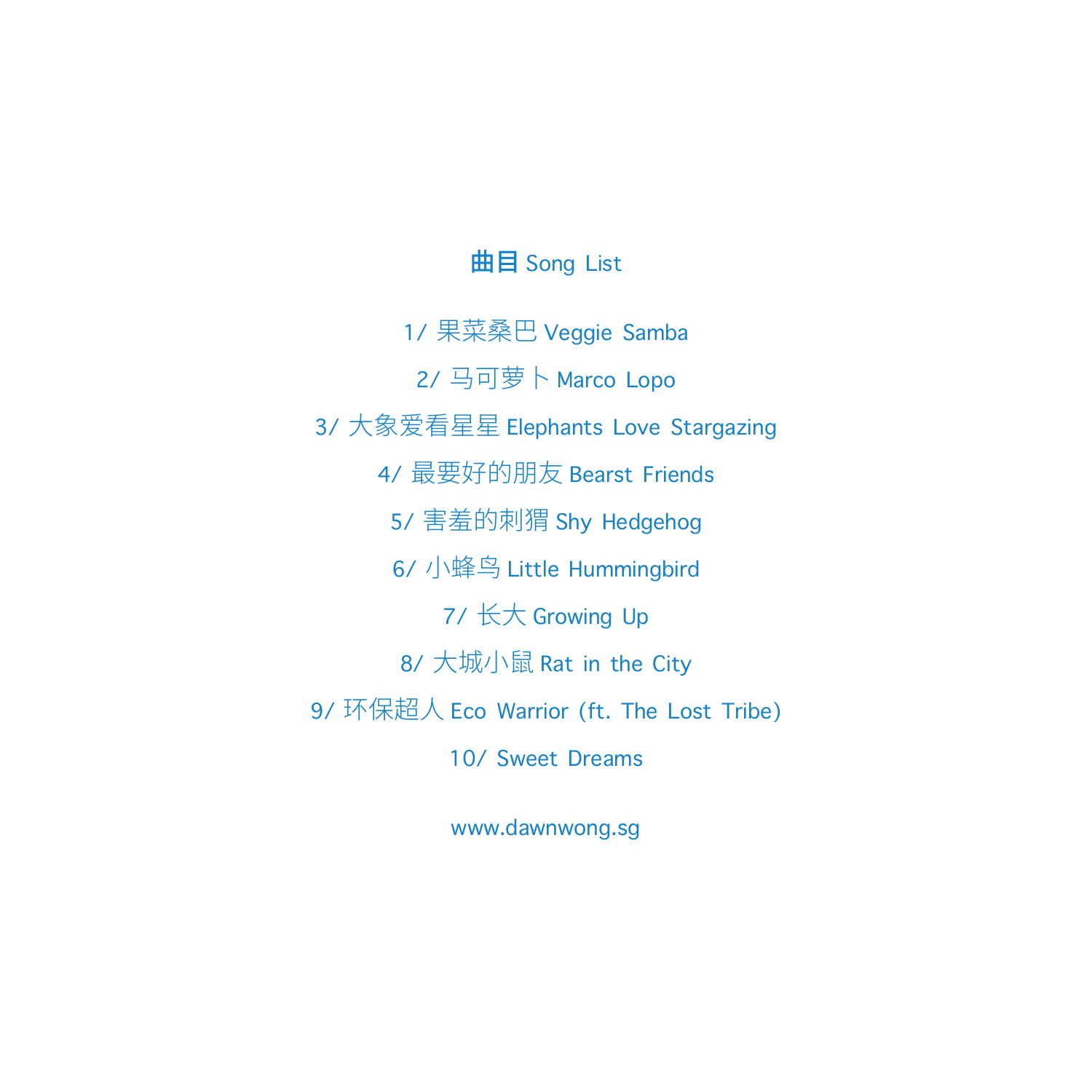# 曲目 Song List

1/ 果菜桑巴 Veggie Samba 2/ 马可萝卜 Marco Lopo 3/ 大象爱看星星 Elephants Love Stargazing 4/ 最要好的朋友 Bearst Friends 5/ 害羞的刺猬 Shy Hedgehog 6/ 小蜂鸟 Little Hummingbird 7/ 长大 Growing Up 8/ 大城小鼠 Rat in the City 9/ 环保超人 Eco Warrior (ft. The Lost Tribe) 10/ Sweet Dreams

www.dawnwong.sg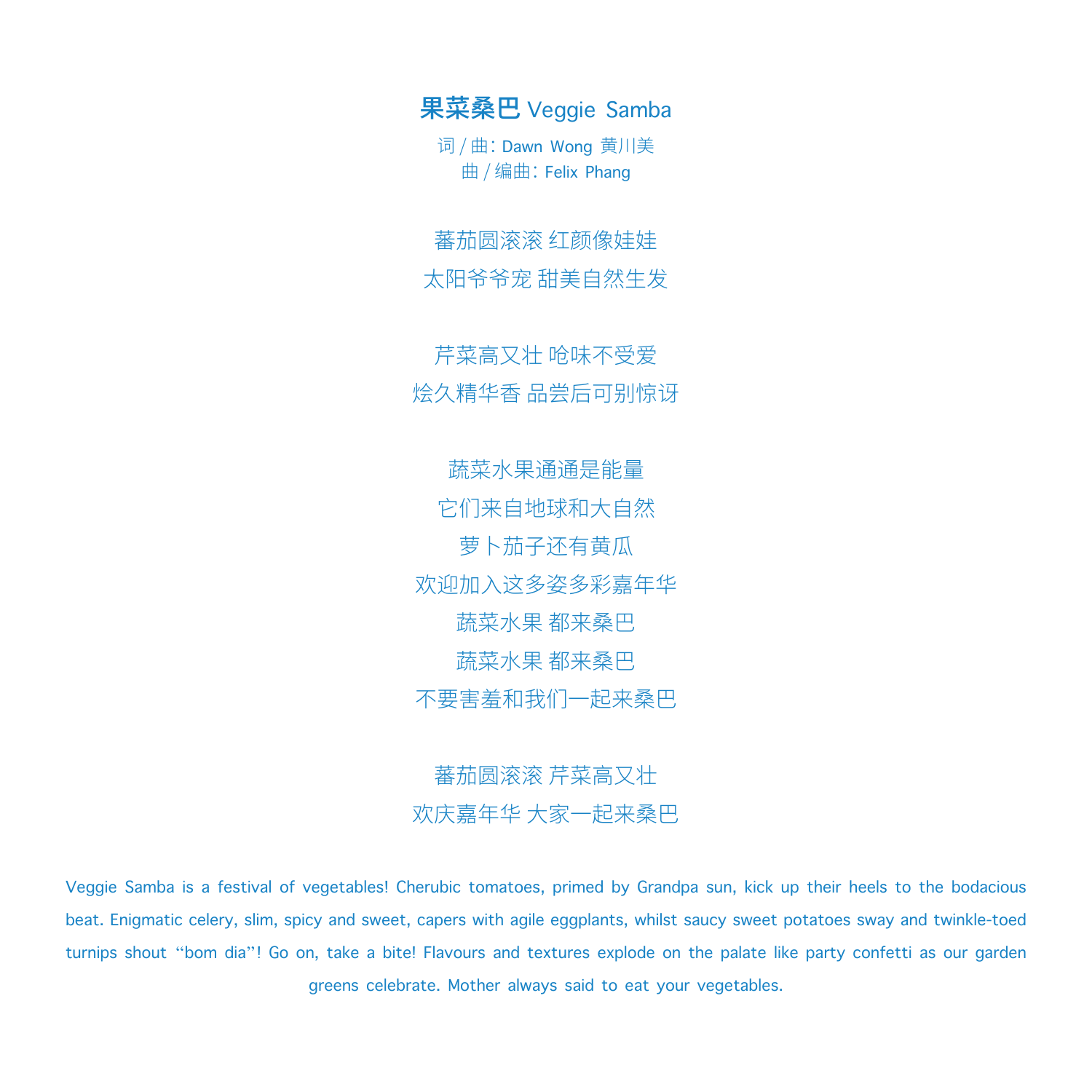果菜桑巴 Veggie Samba

词 / 曲: Dawn Wong 黄川美 曲 / 编曲:Felix Phang

蕃茄圆滚滚 红颜像娃娃 太阳爷爷宠 甜美自然生发

芹菜高又壮 呛味不受爱 烩久精华香 品尝后可别惊讶

蔬菜水果通通是能量 它们来自地球和大自然 萝卜茄子还有黄瓜 欢迎加入这多姿多彩嘉年华 蔬菜水果 都来桑巴 蔬菜水果 都来桑巴 不要害羞和我们一起来桑巴

蕃茄圆滚滚 芹菜高又壮 欢庆嘉年华 大家一起来桑巴

Veggie Samba is a festival of vegetables! Cherubic tomatoes, primed by Grandpa sun, kick up their heels to the bodacious beat. Enigmatic celery, slim, spicy and sweet, capers with agile eggplants, whilst saucy sweet potatoes sway and twinkle-toed turnips shout "bom dia"! Go on, take a bite! Flavours and textures explode on the palate like party confetti as our garden greens celebrate. Mother always said to eat your vegetables.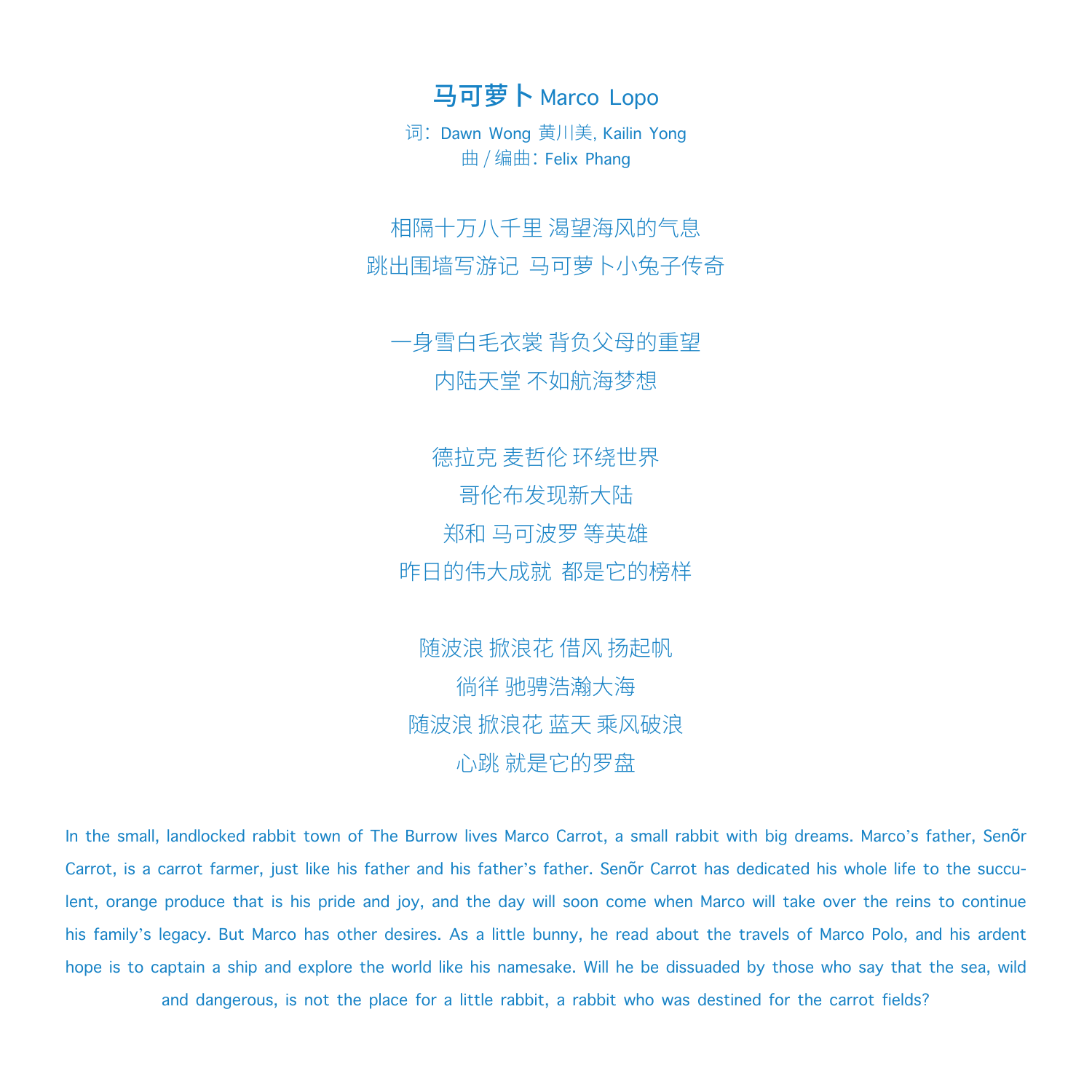马可萝卜 Marco Lopo

词: Dawn Wong 黄川美, Kailin Yong 曲 / 编曲:Felix Phang

相隔十万八千里 渴望海风的气息 跳出围墙写游记 马可萝卜小兔子传奇

一身雪白毛衣裳 背负父母的重望 内陆天堂 不如航海梦想

德拉克 麦哲伦 环绕世界 哥伦布发现新大陆 郑和 马可波罗 等英雄 昨日的伟大成就 都是它的榜样

随波浪 掀浪花 借风 扬起帆 徜徉 驰骋浩瀚大海 随波浪 掀浪花 蓝天 乘风破浪 心跳 就是它的罗盘

In the small, landlocked rabbit town of The Burrow lives Marco Carrot, a small rabbit with big dreams. Marco's father, Senõr Carrot, is a carrot farmer, just like his father and his father's father. Senõr Carrot has dedicated his whole life to the succulent, orange produce that is his pride and joy, and the day will soon come when Marco will take over the reins to continue his family's legacy. But Marco has other desires. As a little bunny, he read about the travels of Marco Polo, and his ardent hope is to captain a ship and explore the world like his namesake. Will he be dissuaded by those who say that the sea, wild

and dangerous, is not the place for a little rabbit, a rabbit who was destined for the carrot fields?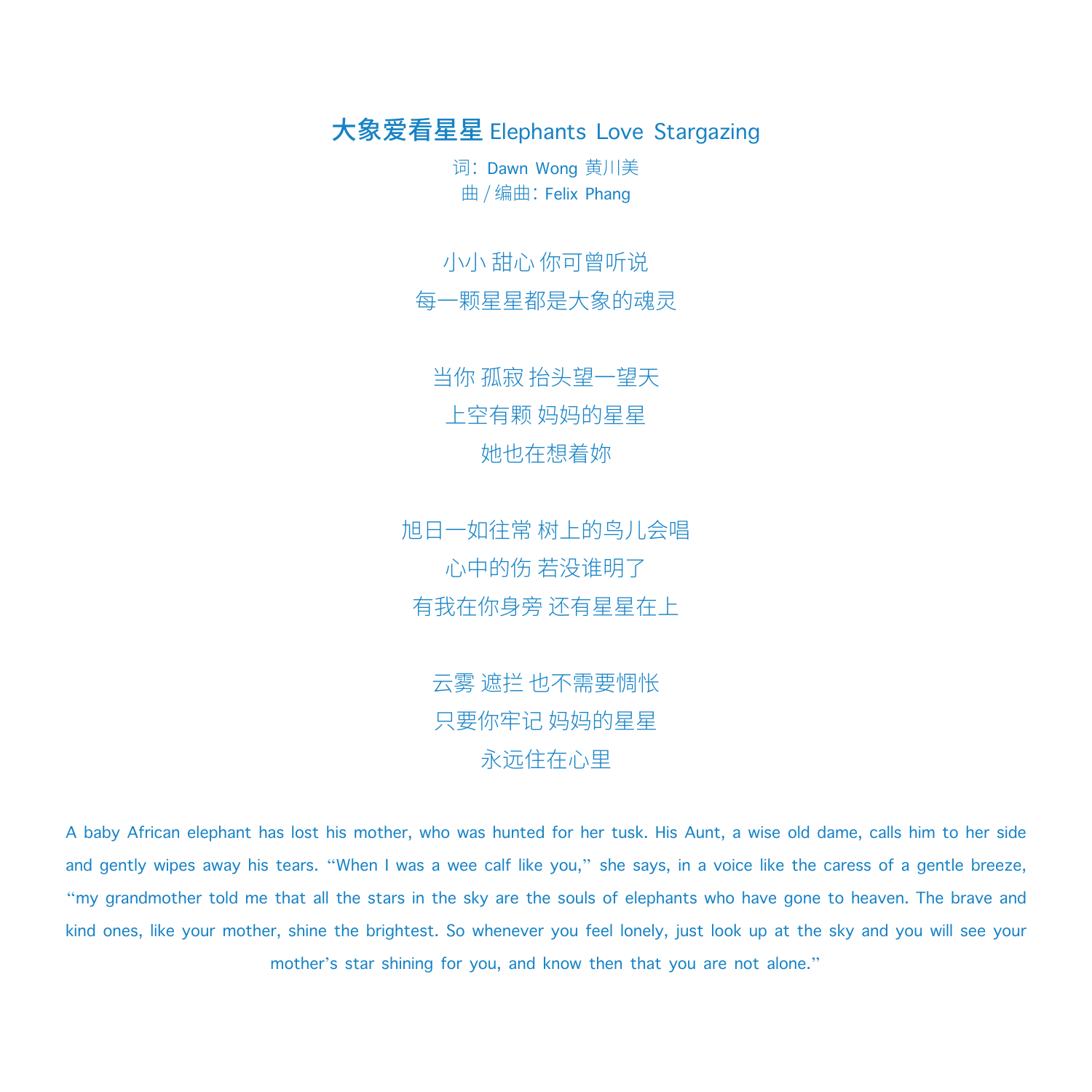大象爱看星星 Elephants Love Stargazing

词: Dawn Wong 黄川美 曲 / 编曲:Felix Phang

小小 甜心 你可曾听说

每一颗星星都是大象的魂灵

当你 孤寂 抬头望一望天 上空有颗 妈妈的星星 她也在想着妳

旭日一如往常 树上的鸟儿会唱 心中的伤 若没谁明了 有我在你身旁 还有星星在上

> 云雾 遮拦 也不需要惆怅 只要你牢记 妈妈的星星 永远住在心里

A baby African elephant has lost his mother, who was hunted for her tusk. His Aunt, a wise old dame, calls him to her side and gently wipes away his tears. "When I was a wee calf like you," she says, in a voice like the caress of a gentle breeze, "my grandmother told me that all the stars in the sky are the souls of elephants who have gone to heaven. The brave and kind ones, like your mother, shine the brightest. So whenever you feel lonely, just look up at the sky and you will see your mother's star shining for you, and know then that you are not alone."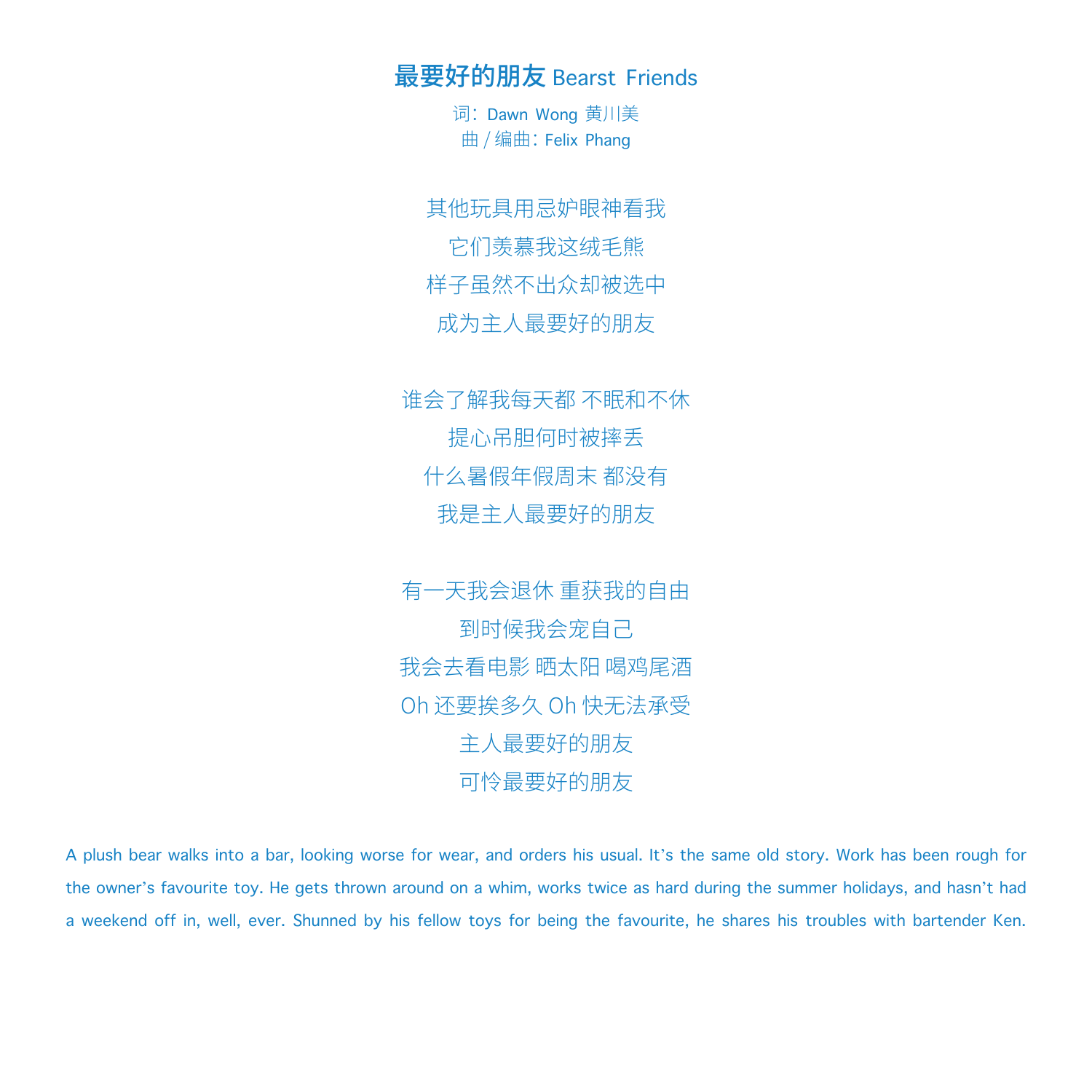最要好的朋友 Bearst Friends

词: Dawn Wong 黄川美 曲 / 编曲:Felix Phang

其他玩具用忌妒眼神看我 它们羡慕我这绒毛熊 样子虽然不出众却被选中 成为主人最要好的朋友

谁会了解我每天都 不眠和不休 提心吊胆何时被摔丢 什么暑假年假周末 都没有 我是主人最要好的朋友

有一天我会退休 重获我的自由 到时候我会宠自己 我会去看电影 晒太阳 喝鸡尾酒 Oh 还要挨多久 Oh 快无法承受 主人最要好的朋友 可怜最要好的朋友

A plush bear walks into a bar, looking worse for wear, and orders his usual. It's the same old story. Work has been rough for the owner's favourite toy. He gets thrown around on a whim, works twice as hard during the summer holidays, and hasn't had a weekend off in, well, ever. Shunned by his fellow toys for being the favourite, he shares his troubles with bartender Ken.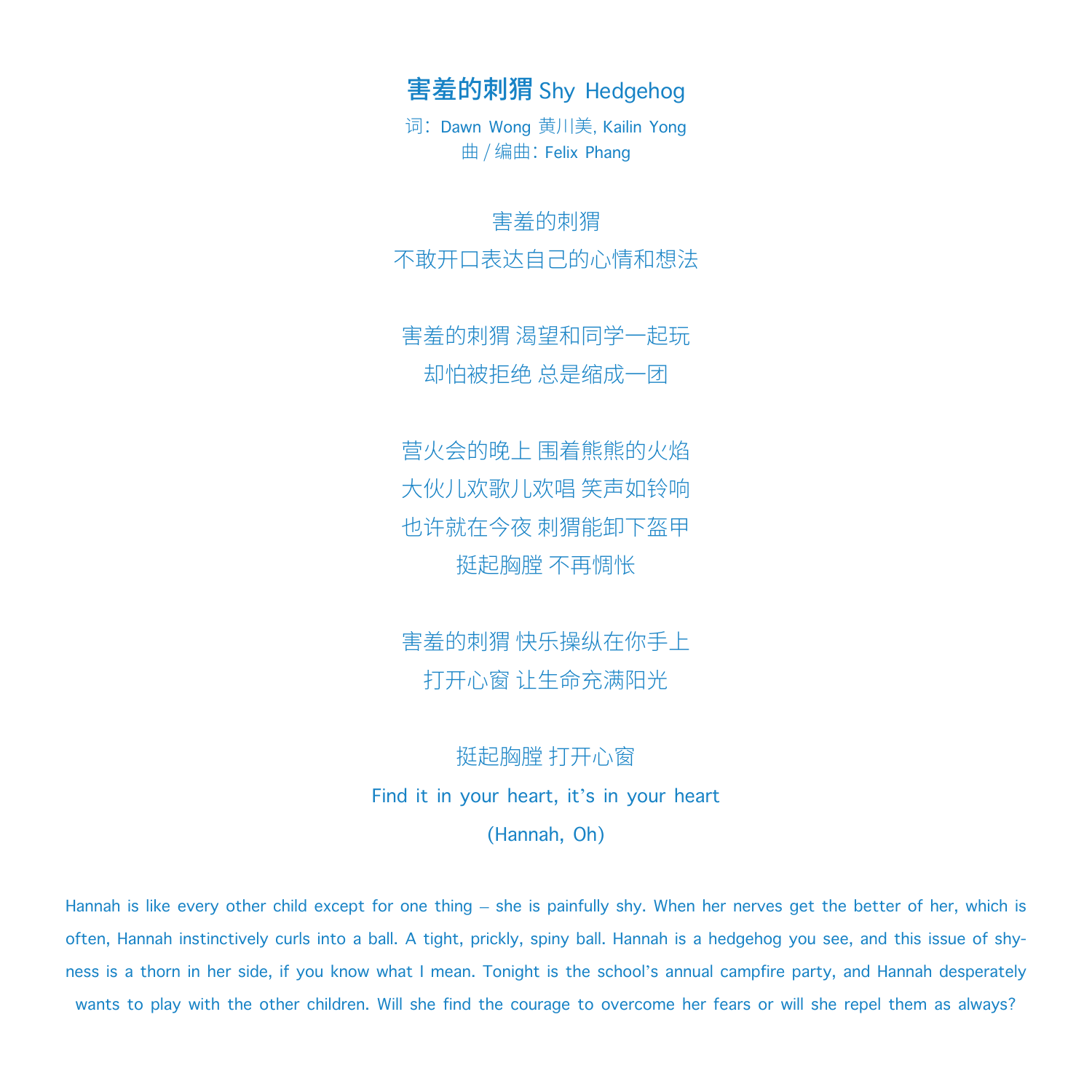害羞的刺猬 Shy Hedgehog

词: Dawn Wong 黄川美, Kailin Yong 曲 / 编曲:Felix Phang

### 害羞的刺猬

不敢开口表达自己的心情和想法

害羞的刺猬 渴望和同学一起玩 却怕被拒绝 总是缩成一团

营火会的晚上 围着熊熊的火焰 大伙儿欢歌儿欢唱 笑声如铃响 也许就在今夜 刺猬能卸下盔甲 挺起胸膛 不再惆怅

害羞的刺猬 快乐操纵在你手上 打开心窗 让生命充满阳光

# 挺起胸膛 打开心窗

Find it in your heart, it's in your heart

(Hannah, Oh)

Hannah is like every other child except for one thing – she is painfully shy. When her nerves get the better of her, which is often, Hannah instinctively curls into a ball. A tight, prickly, spiny ball. Hannah is a hedgehog you see, and this issue of shyness is a thorn in her side, if you know what I mean. Tonight is the school's annual campfire party, and Hannah desperately wants to play with the other children. Will she find the courage to overcome her fears or will she repel them as always?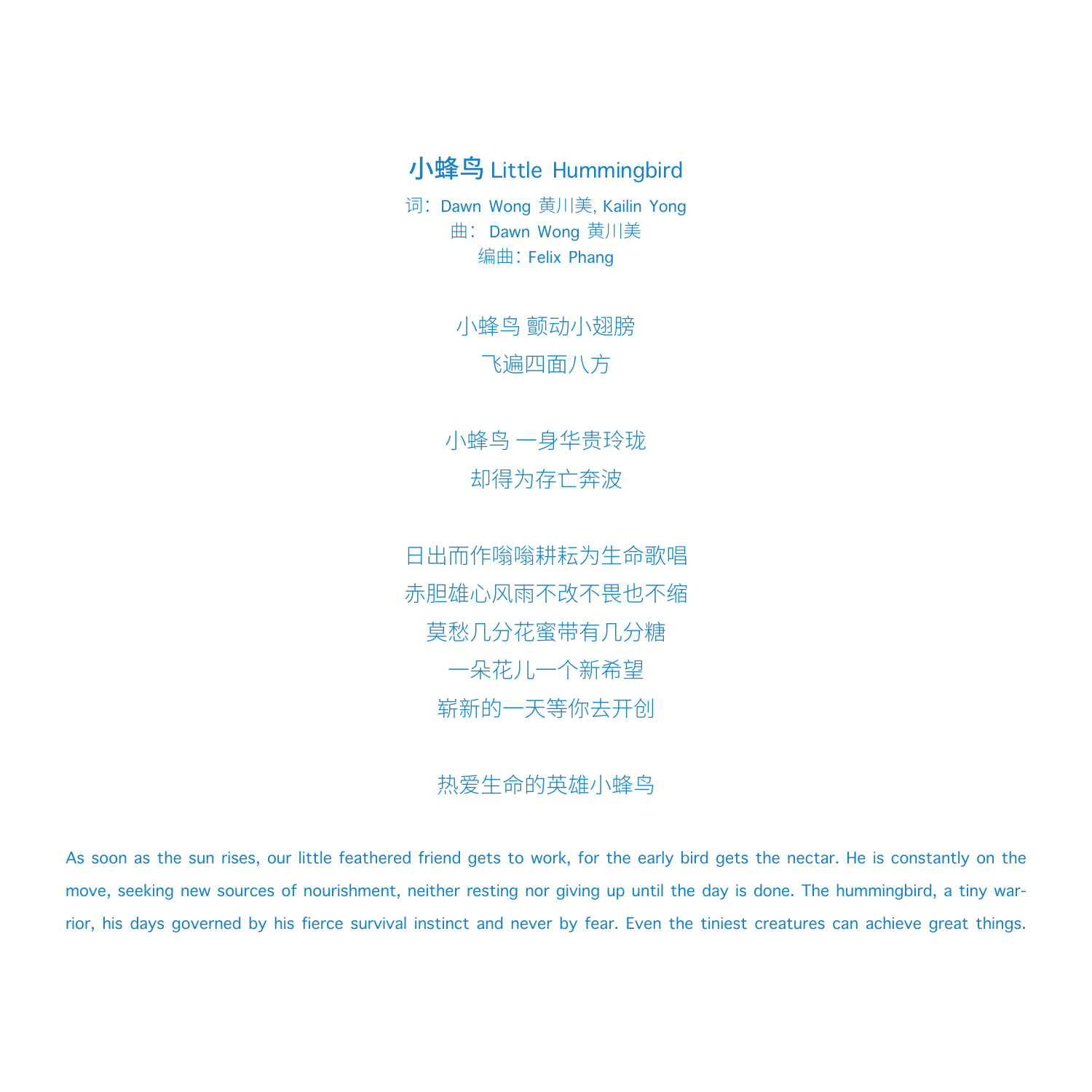# 小蜂鸟 Little Hummingbird

词: Dawn Wong 黄川美, Kailin Yong 曲: Dawn Wong 黄川美 编曲:Felix Phang

> 小蜂鸟 颤动小翅膀 飞遍四面八方

小蜂鸟 一身华贵玲珑 却得为存亡奔波

日出而作嗡嗡耕耘为生命歌唱 赤胆雄心风雨不改不畏也不缩 莫愁几分花蜜带有几分糖 一朵花儿一个新希望 崭新的一天等你去开创

## 热爱生命的英雄小蜂鸟

As soon as the sun rises, our little feathered friend gets to work, for the early bird gets the nectar. He is constantly on the move, seeking new sources of nourishment, neither resting nor giving up until the day is done. The hummingbird, a tiny warrior, his days governed by his fierce survival instinct and never by fear. Even the tiniest creatures can achieve great things.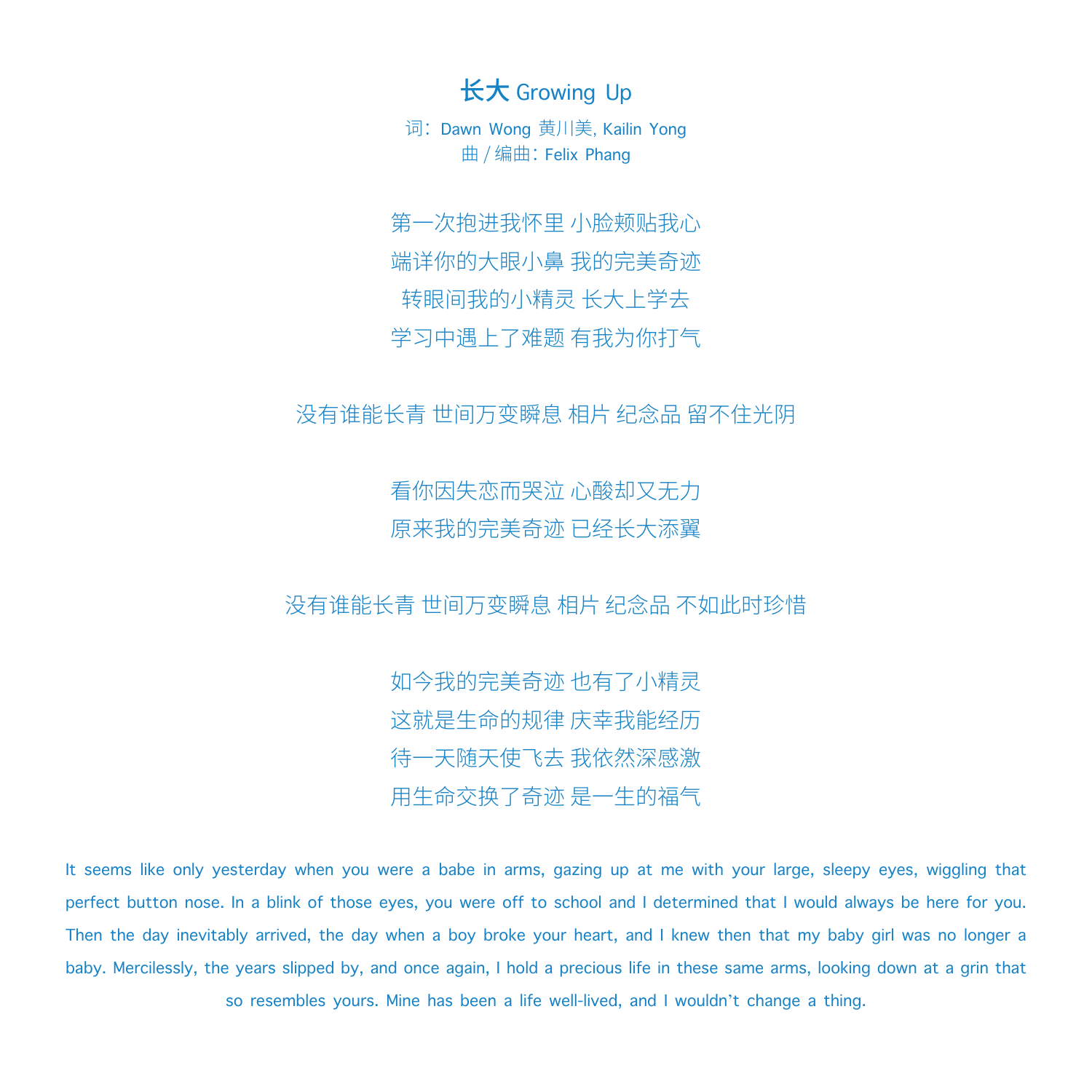长大 Growing Up

词: Dawn Wong 黄川美, Kailin Yong 曲 / 编曲:Felix Phang

第一次抱进我怀里 小脸颊贴我心 端详你的大眼小鼻 我的完美奇迹 转眼间我的小精灵 长大上学去 学习中遇上了难题 有我为你打气

没有谁能长青 世间万变瞬息 相片 纪念品 留不住光阴

看你因失恋而哭泣 心酸却又无力 原来我的完美奇迹 已经长大添翼

没有谁能长青 世间万变瞬息 相片 纪念品 不如此时珍惜

如今我的完美奇迹 也有了小精灵 这就是生命的规律 庆幸我能经历 待一天随天使飞去 我依然深感激 用生命交换了奇迹 是一生的福气

It seems like only yesterday when you were a babe in arms, gazing up at me with your large, sleepy eyes, wiggling that perfect button nose. In a blink of those eyes, you were off to school and I determined that I would always be here for you. Then the day inevitably arrived, the day when a boy broke your heart, and I knew then that my baby girl was no longer a baby. Mercilessly, the years slipped by, and once again, I hold a precious life in these same arms, looking down at a grin that so resembles yours. Mine has been a life well-lived, and I wouldn't change a thing.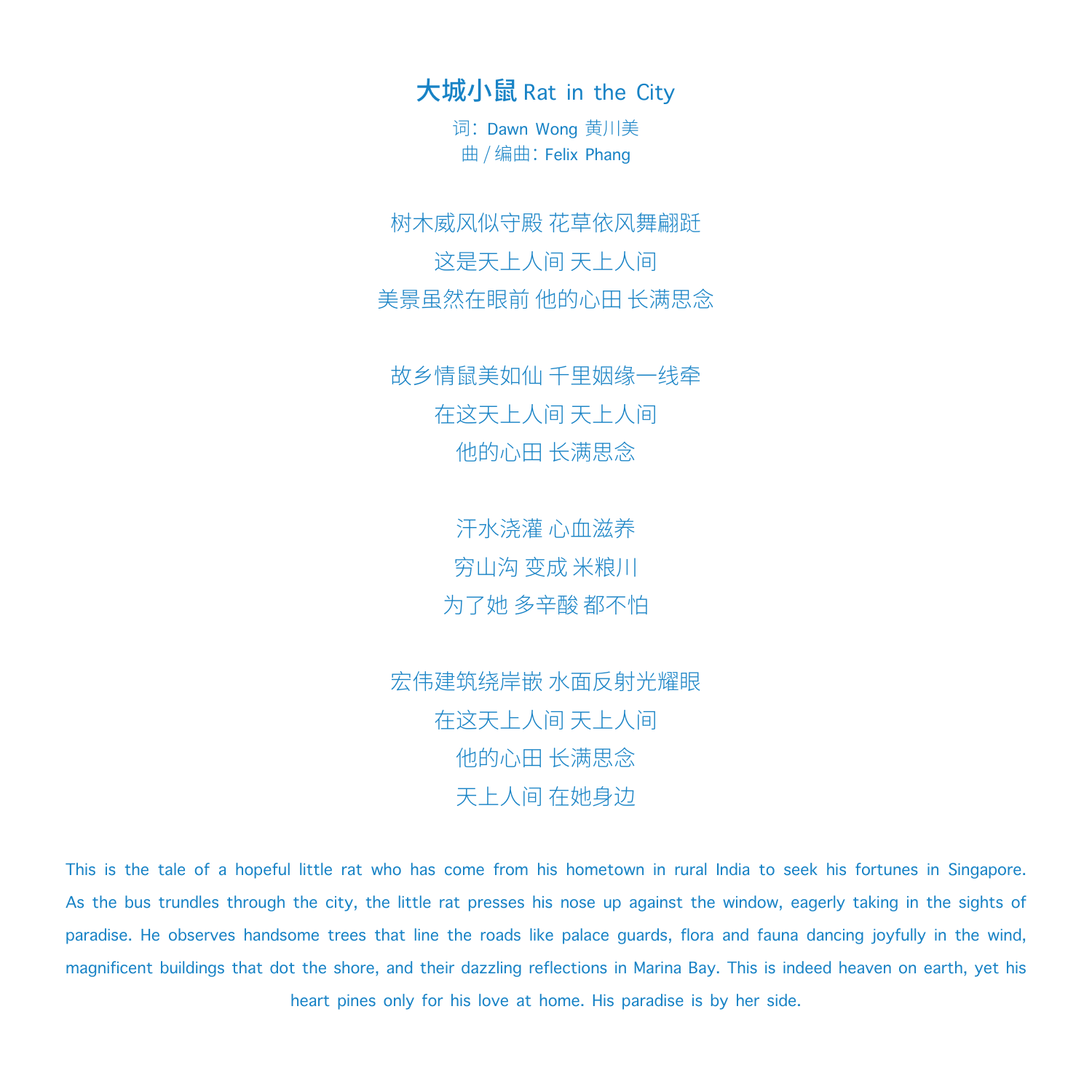大城小鼠 Rat in the City

词: Dawn Wong 黄川美 曲 / 编曲:Felix Phang

树木威风似守殿 花草依风舞翩跹 这是天上人间 天上人间 美景虽然在眼前 他的心田 长满思念

故乡情鼠美如仙 千里姻缘一线牵 在这天上人间 天上人间 他的心田 长满思念

> 汗水浇灌 心血滋养 穷山沟 变成 米粮川 为了她 多辛酸 都不怕

宏伟建筑绕岸嵌 水面反射光耀眼 在这天上人间 天上人间 他的心田 长满思念 天上人间 在她身边

This is the tale of a hopeful little rat who has come from his hometown in rural India to seek his fortunes in Singapore. As the bus trundles through the city, the little rat presses his nose up against the window, eagerly taking in the sights of paradise. He observes handsome trees that line the roads like palace guards, flora and fauna dancing joyfully in the wind, magnificent buildings that dot the shore, and their dazzling reflections in Marina Bay. This is indeed heaven on earth, yet his heart pines only for his love at home. His paradise is by her side.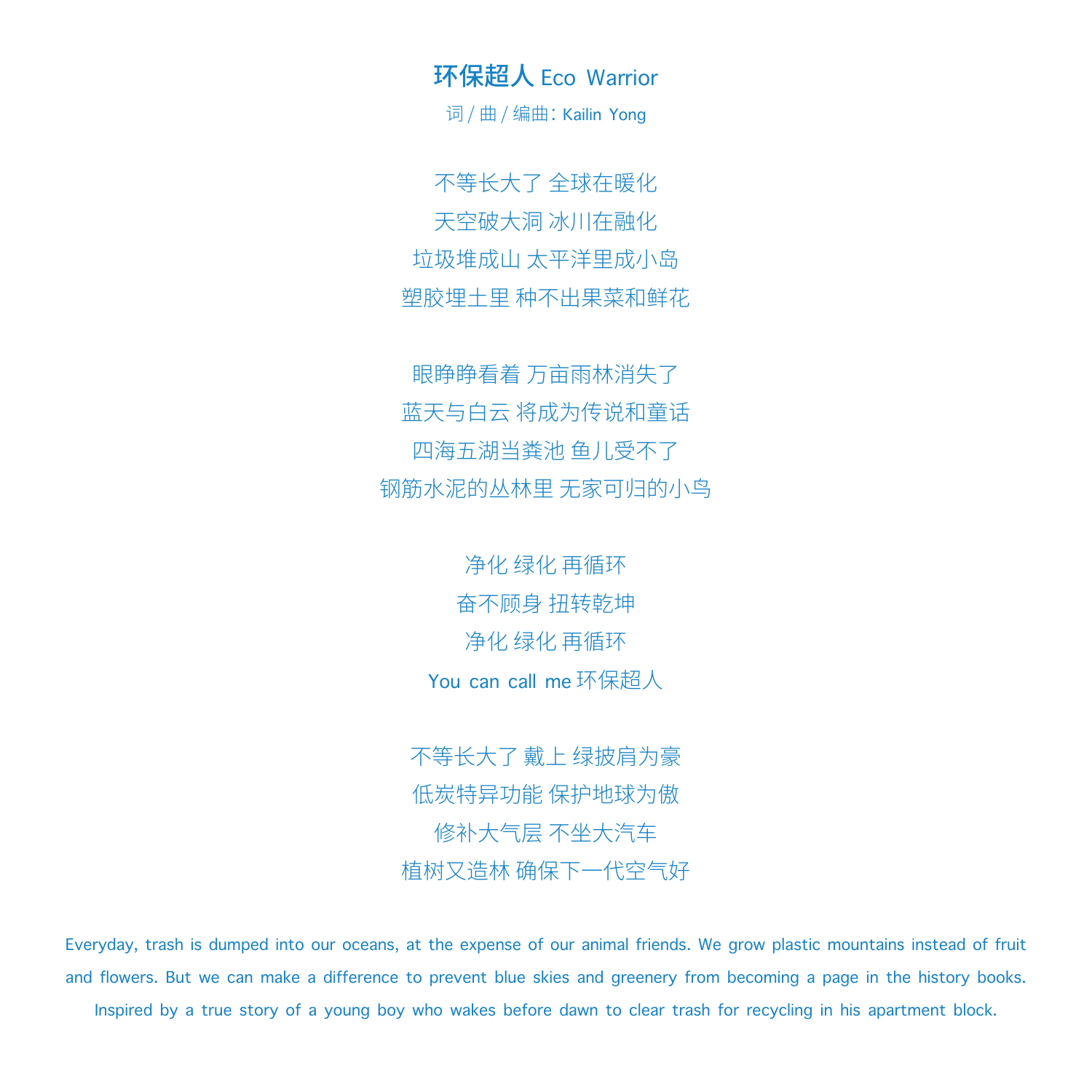环保超人 Eco Warrior

词/曲/编曲: Kailin Yong

不等长大了 全球在暖化 天空破大洞 冰川在融化 垃圾堆成山 太平洋里成小岛 塑胶埋土里 种不出果菜和鲜花

眼睁睁看着 万亩雨林消失了 蓝天与白云 将成为传说和童话 四海五湖当粪池 鱼儿受不了 钢筋水泥的丛林里 无家可归的小鸟

> 净化 绿化 再循环 奋不顾身 扭转乾坤 净化 绿化 再循环 You can call me 环保超人

不等长大了 戴上 绿披肩为豪 低炭特异功能 保护地球为傲 修补大气层 不坐大汽车 植树又造林 确保下一代空气好

Everyday, trash is dumped into our oceans, at the expense of our animal friends. We grow plastic mountains instead of fruit and flowers. But we can make a difference to prevent blue skies and greenery from becoming a page in the history books. Inspired by a true story of a young boy who wakes before dawn to clear trash for recycling in his apartment block.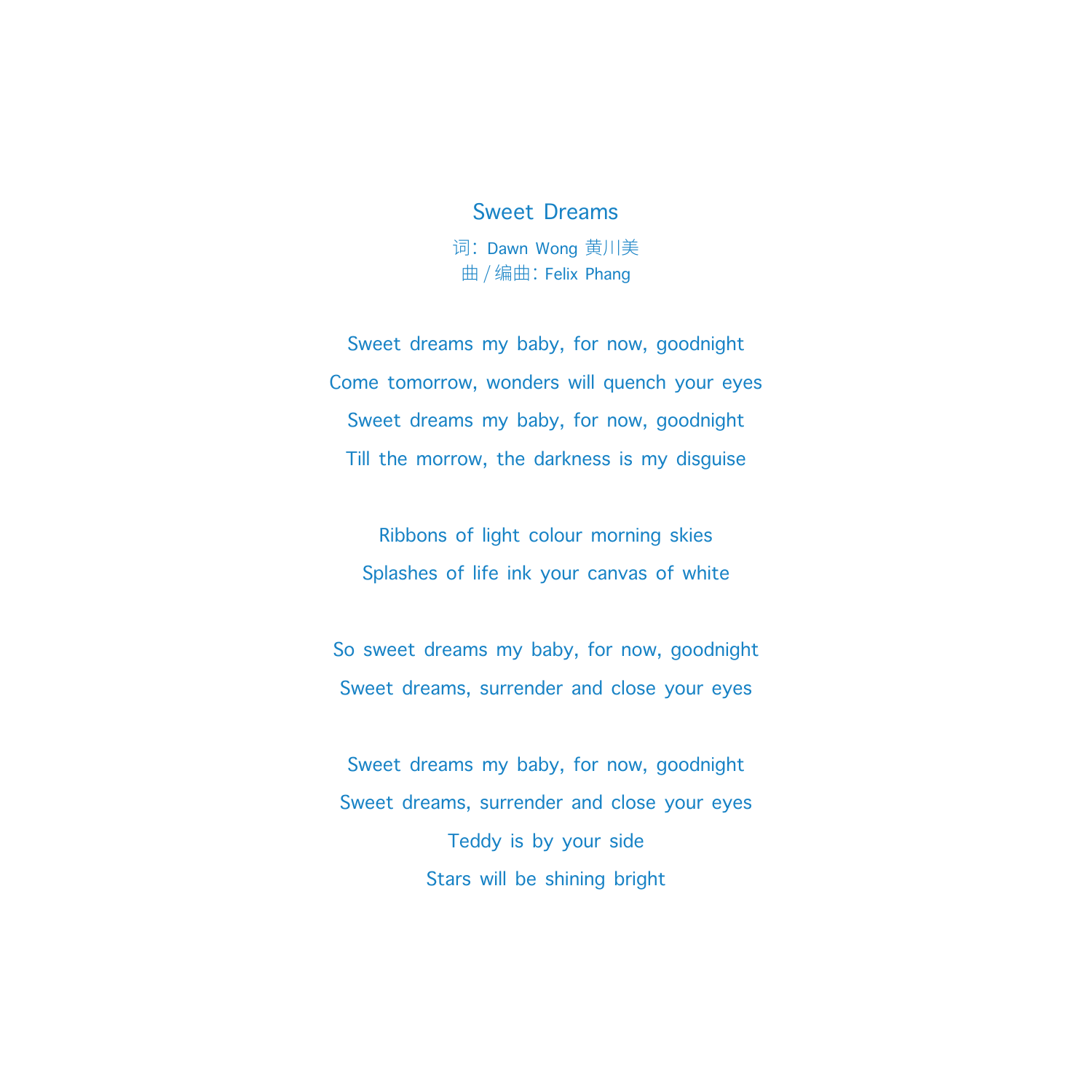### Sweet Dreams

词: Dawn Wong 黄川美 曲 / 编曲:Felix Phang

Sweet dreams my baby, for now, goodnight Come tomorrow, wonders will quench your eyes Sweet dreams my baby, for now, goodnight Till the morrow, the darkness is my disguise

Ribbons of light colour morning skies Splashes of life ink your canvas of white

So sweet dreams my baby, for now, goodnight Sweet dreams, surrender and close your eyes

Sweet dreams my baby, for now, goodnight Sweet dreams, surrender and close your eyes Teddy is by your side Stars will be shining bright